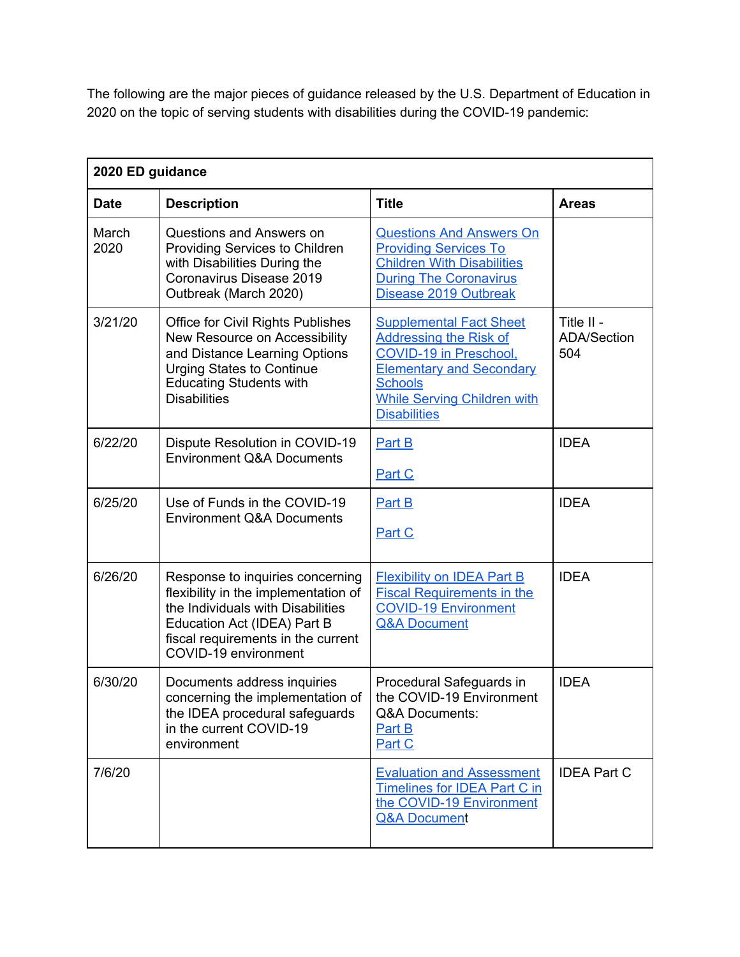The following are the major pieces of guidance released by the U.S. Department of Education in 2020 on the topic of serving students with disabilities during the COVID-19 pandemic:

| 2020 ED guidance |                                                                                                                                                                                                            |                                                                                                                                                                                                             |                                         |  |
|------------------|------------------------------------------------------------------------------------------------------------------------------------------------------------------------------------------------------------|-------------------------------------------------------------------------------------------------------------------------------------------------------------------------------------------------------------|-----------------------------------------|--|
| <b>Date</b>      | <b>Description</b>                                                                                                                                                                                         | <b>Title</b>                                                                                                                                                                                                | <b>Areas</b>                            |  |
| March<br>2020    | Questions and Answers on<br>Providing Services to Children<br>with Disabilities During the<br>Coronavirus Disease 2019<br>Outbreak (March 2020)                                                            | <b>Questions And Answers On</b><br><b>Providing Services To</b><br><b>Children With Disabilities</b><br><b>During The Coronavirus</b><br>Disease 2019 Outbreak                                              |                                         |  |
| 3/21/20          | <b>Office for Civil Rights Publishes</b><br>New Resource on Accessibility<br>and Distance Learning Options<br><b>Urging States to Continue</b><br><b>Educating Students with</b><br><b>Disabilities</b>    | <b>Supplemental Fact Sheet</b><br><b>Addressing the Risk of</b><br>COVID-19 in Preschool,<br><b>Elementary and Secondary</b><br><b>Schools</b><br><b>While Serving Children with</b><br><b>Disabilities</b> | Title II -<br><b>ADA/Section</b><br>504 |  |
| 6/22/20          | Dispute Resolution in COVID-19<br><b>Environment Q&amp;A Documents</b>                                                                                                                                     | Part B<br>Part C                                                                                                                                                                                            | <b>IDEA</b>                             |  |
| 6/25/20          | Use of Funds in the COVID-19<br><b>Environment Q&amp;A Documents</b>                                                                                                                                       | Part B<br>Part C                                                                                                                                                                                            | <b>IDEA</b>                             |  |
| 6/26/20          | Response to inquiries concerning<br>flexibility in the implementation of<br>the Individuals with Disabilities<br>Education Act (IDEA) Part B<br>fiscal requirements in the current<br>COVID-19 environment | <b>Flexibility on IDEA Part B</b><br><b>Fiscal Requirements in the</b><br><b>COVID-19 Environment</b><br><b>Q&amp;A Document</b>                                                                            | <b>IDEA</b>                             |  |
| 6/30/20          | Documents address inquiries<br>concerning the implementation of<br>the IDEA procedural safeguards<br>in the current COVID-19<br>environment                                                                | Procedural Safeguards in<br>the COVID-19 Environment<br>Q&A Documents:<br>Part B<br>Part C                                                                                                                  | <b>IDEA</b>                             |  |
| 7/6/20           |                                                                                                                                                                                                            | <b>Evaluation and Assessment</b><br><b>Timelines for IDEA Part C in</b><br>the COVID-19 Environment<br><b>Q&amp;A Document</b>                                                                              | <b>IDEA Part C</b>                      |  |